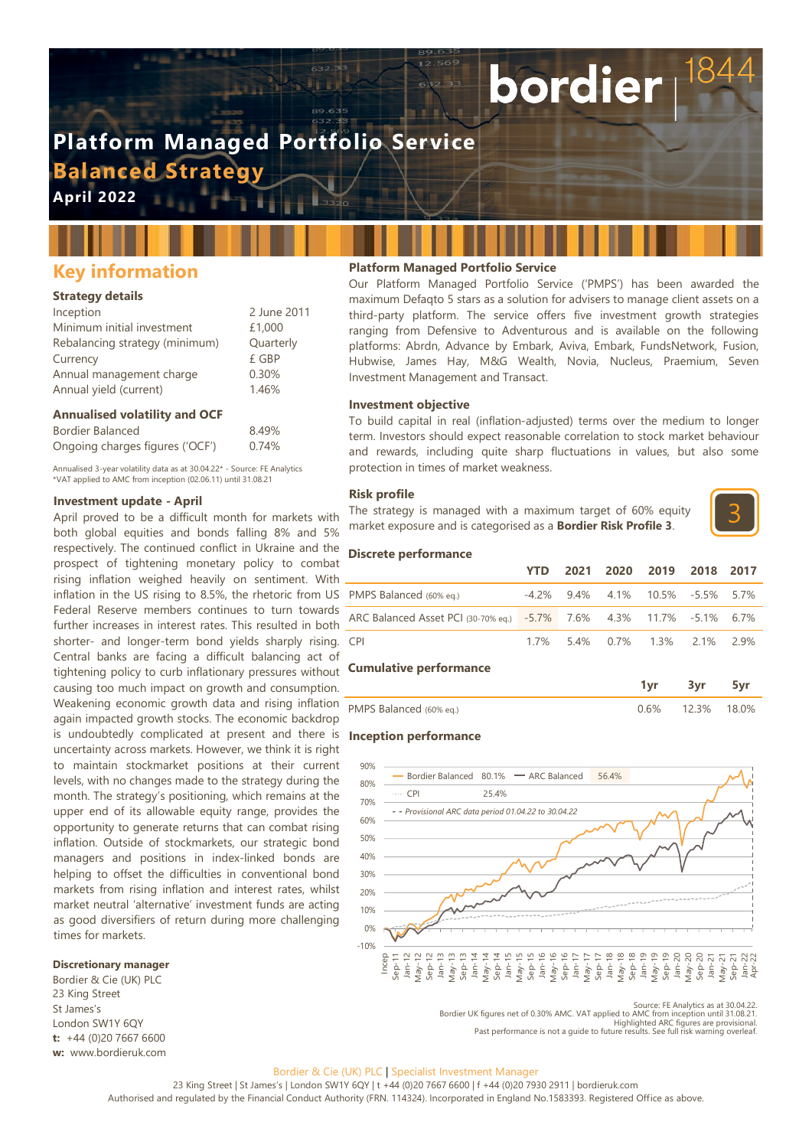# **Platform Managed Portfolio Service Balanced Strategy**

**April 2022**

## **Key information**

## **Strategy details**

| Inception                      | 2 June 2011 |
|--------------------------------|-------------|
| Minimum initial investment     | £1,000      |
| Rebalancing strategy (minimum) | Quarterly   |
| Currency                       | £ GBP       |
| Annual management charge       | 0.30%       |
| Annual yield (current)         | 1.46%       |

#### **Annualised volatility and OCF**

| <b>Bordier Balanced</b>         | 8.49% |
|---------------------------------|-------|
| Ongoing charges figures ('OCF') | 0.74% |

Annualised 3-year volatility data as at 30.04.22\* - Source: FE Analytics \*VAT applied to AMC from inception (02.06.11) until 31.08.21

#### **Investment update - April**

April proved to be a difficult month for markets with both global equities and bonds falling 8% and 5% respectively. The continued conflict in Ukraine and the prospect of tightening monetary policy to combat rising inflation weighed heavily on sentiment. With inflation in the US rising to 8.5%, the rhetoric from US Federal Reserve members continues to turn towards further increases in interest rates. This resulted in both shorter- and longer-term bond yields sharply rising. Central banks are facing a difficult balancing act of tightening policy to curb inflationary pressures without causing too much impact on growth and consumption. Weakening economic growth data and rising inflation again impacted growth stocks. The economic backdrop is undoubtedly complicated at present and there is uncertainty across markets. However, we think it is right to maintain stockmarket positions at their current levels, with no changes made to the strategy during the month. The strategy's positioning, which remains at the upper end of its allowable equity range, provides the opportunity to generate returns that can combat rising inflation. Outside of stockmarkets, our strategic bond managers and positions in index-linked bonds are helping to offset the difficulties in conventional bond markets from rising inflation and interest rates, whilst market neutral 'alternative' investment funds are acting as good diversifiers of return during more challenging times for markets.

## **Discretionary manager**

Bordier & Cie (UK) PLC 23 King Street St James's London SW1Y 6QY **t:** +44 (0)20 7667 6600 **w:** www.bordieruk.com

## **Platform Managed Portfolio Service**

Our Platform Managed Portfolio Service ('PMPS') has been awarded the maximum Defaqto 5 stars as a solution for advisers to manage client assets on a third-party platform. The service offers five investment growth strategies ranging from Defensive to Adventurous and is available on the following platforms: Abrdn, Advance by Embark, Aviva, Embark, FundsNetwork, Fusion, Hubwise, James Hay, M&G Wealth, Novia, Nucleus, Praemium, Seven Investment Management and Transact.

bordier

#### **Investment objective**

To build capital in real (inflation-adjusted) terms over the medium to longer term. Investors should expect reasonable correlation to stock market behaviour and rewards, including quite sharp fluctuations in values, but also some protection in times of market weakness.

#### **Risk profile**

The strategy is managed with a maximum target of 60% equity market exposure and is categorised as a **Bordier Risk Profile 3**.



#### **Discrete performance**

|                                                                      | YTD |  | 2021 2020 2019 2018 2017         |  |
|----------------------------------------------------------------------|-----|--|----------------------------------|--|
| PMPS Balanced (60% eq.)                                              |     |  | -4.2% 9.4% 4.1% 10.5% -5.5% 5.7% |  |
| ARC Balanced Asset PCI (30-70% eq.) -5.7% 7.6% 4.3% 11.7% -5.1% 6.7% |     |  |                                  |  |
| <b>CPI</b>                                                           |     |  | 1.7% 5.4% 0.7% 1.3% 2.1% 2.9%    |  |
| <b>Cumulative performance</b>                                        |     |  |                                  |  |

|                         | 3vr         |  |
|-------------------------|-------------|--|
| PMPS Balanced (60% eq.) | 12.3% 18.0% |  |

#### **Inception performance**



Source: FE Analytics as at 30.04.22. Bordier UK figures net of 0.30% AMC. VAT applied to AMC from inception until 31.08.21. Highlighted ARC figures are provisional. Past performance is not a guide to future results. See full risk warning overleaf.

#### Bordier & Cie (UK) PLC | Specialist Investment Manager

23 King Street | St James's | London SW1Y 6QY | t +44 (0)20 7667 6600 | f +44 (0)20 7930 2911 | bordieruk.com Authorised and regulated by the Financial Conduct Authority (FRN. 114324). Incorporated in England No.1583393. Registered Office as above.